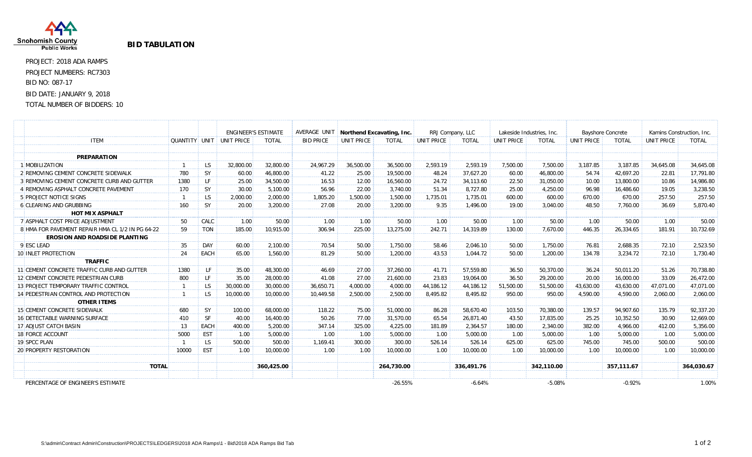

## **BID TABULATION**

PROJECT: 2018 ADA RAMPS PROJECT NUMBERS: RC7303 BID NO: 087-17 BID DATE: JANUARY 9, 2018

## TOTAL NUMBER OF BIDDERS: 10

|                                                  |       |           |                                 | <b>ENGINEER'S ESTIMATE</b> | AVERAGE UNIT     | Northend Excavating, Inc. |              | RRJ Company, LLC |              | Lakeside Industries, Inc. |              | <b>Bayshore Concrete</b> |              | Kamins Construction, Inc. |              |
|--------------------------------------------------|-------|-----------|---------------------------------|----------------------------|------------------|---------------------------|--------------|------------------|--------------|---------------------------|--------------|--------------------------|--------------|---------------------------|--------------|
| <b>ITEM</b>                                      |       |           | <b>QUANTITY UNIT UNIT PRICE</b> | <b>TOTAL</b>               | <b>BID PRICE</b> | UNIT PRICE                | <b>TOTAL</b> | UNIT PRICE       | <b>TOTAL</b> | UNIT PRICE                | <b>TOTAL</b> | UNIT PRICE               | <b>TOTAL</b> | UNIT PRICE                | <b>TOTAL</b> |
|                                                  |       |           |                                 |                            |                  |                           |              |                  |              |                           |              |                          |              |                           |              |
| <b>PREPARATION</b>                               |       |           |                                 |                            |                  |                           |              |                  |              |                           |              |                          |              |                           |              |
| 1 MOBILIZATION                                   |       | LS        | 32,800.00                       | 32,800.00                  | 24,967.29        | 36,500.00                 | 36,500.00    | 2,593.19         | 2,593.19     | 7,500.00                  | 7,500.00     | 3,187.85                 | 3,187.85     | 34.645.08                 | 34,645.08    |
| 2 REMOVING CEMENT CONCRETE SIDEWALK              | 780   | <b>SY</b> | 60.00                           | 46.800.00                  | 41.22            | 25.00                     | 19,500.00    | 48.24            | 37.627.20    | 60.00                     | 46,800.00    | 54.74                    | 42.697.20    | 22.81                     | 17.791.80    |
| 3 REMOVING CEMENT CONCRETE CURB AND GUTTER       | 1380  | LF        | 25.00                           | 34,500.00                  | 16.53            | 12.00                     | 16,560.00    | 24.72            | 34,113.60    | 22.50                     | 31,050.00    | 10.00                    | 13,800.00    | 10.86                     | 14,986.80    |
| 4 REMOVING ASPHALT CONCRETE PAVEMENT             | 170   | <b>SY</b> | 30.00                           | 5,100.00                   | 56.96            | 22.00                     | 3,740.00     | 51.34            | 8,727.80     | 25.00                     | 4,250.00     | 96.98                    | 16,486.60    | 19.05                     | 3,238.50     |
| <b>5 PROJECT NOTICE SIGNS</b>                    |       | LS        | 2,000.00                        | 2,000.00                   | 1,805.20         | 1,500.00                  | 1,500.00     | 1,735.01         | 1,735.01     | 600.00                    | 600.00       | 670.00                   | 670.00       | 257.50                    | 257.50       |
| 6 CLEARING AND GRUBBING                          | 160   | <b>SY</b> | 20.00                           | 3,200.00                   | 27.08            | 20.00                     | 3,200.00     | 9.35             | 1,496.00     | 19.00                     | 3.040.00     | 48.50                    | 7,760.00     | 36.69                     | 5,870.40     |
| <b>HOT MIX ASPHALT</b>                           |       |           |                                 |                            |                  |                           |              |                  |              |                           |              |                          |              |                           |              |
| 7 ASPHALT COST PRICE ADJUSTMENT                  | 50    | CALC      | 1.00                            | 50.00                      | 1.00             | 1.00                      | 50.00        | 1.00             | 50.00        | 1.00                      | 50.00        | 1.00                     | 50.00        | 1.00                      | 50.00        |
| 8 HMA FOR PAVEMENT REPAIR HMA CL 1/2 IN PG 64-22 | 59    | TON       | 185.00                          | 10.915.00                  | 306.94           | 225.00                    | 13,275.00    | 242.71           | 14,319.89    | 130.00                    | 7.670.00     | 446.35                   | 26,334.65    | 181.91                    | 10,732.69    |
| <b>EROSION AND ROADSIDE PLANTING</b>             |       |           |                                 |                            |                  |                           |              |                  |              |                           |              |                          |              |                           |              |
| 9 ESC LEAD                                       | 35    | DAY       | 60.00                           | 2.100.00                   | 70.54            | 50.00                     | 1,750.00     | 58.46            | 2.046.10     | 50.00                     | 1.750.00     | 76.81                    | 2,688.35     | 72.10                     | 2,523.50     |
| <b>10 INLET PROTECTION</b>                       | 24    | EACH      | 65.00                           | 1.560.00                   | 81.29            | 50.00                     | 1,200.00     | 43.53            | 1.044.72     | 50.00                     | 1.200.00     | 134.78                   | 3.234.72     | 72.10                     | 1.730.40     |
| <b>TRAFFIC</b>                                   |       |           |                                 |                            |                  |                           |              |                  |              |                           |              |                          |              |                           |              |
| 11 CEMENT CONCRETE TRAFFIC CURB AND GUTTER       | 1380  | LF.       | 35.00                           | 48,300.00                  | 46.69            | 27.00                     | 37.260.00    | 41.71            | 57.559.80    | 36.50                     | 50.370.00    | 36.24                    | 50.011.20    | 51.26                     | 70.738.80    |
| 12 CEMENT CONCRETE PEDESTRIAN CURB               | 800   | LF.       | 35.00                           | 28,000.00                  | 41.08            | 27.00                     | 21,600.00    | 23.83            | 19,064.00    | 36.50                     | 29,200.00    | 20.00                    | 16,000.00    | 33.09                     | 26,472.00    |
| 13 PROJECT TEMPORARY TRAFFIC CONTROL             |       | <b>LS</b> | 30,000.00                       | 30,000.00                  | 36,650.71        | 4.000.00                  | 4,000.00     | 44,186.12        | 44,186.12    | 51,500.00                 | 51,500.00    | 43,630.00                | 43,630.00    | 47,071.00                 | 47,071.00    |
| 14 PEDESTRIAN CONTROL AND PROTECTION             |       | <b>LS</b> | 10,000.00                       | 10,000.00                  | 10,449.58        | 2,500.00                  | 2,500.00     | 8,495.82         | 8,495.82     | 950.00                    | 950.00       | 4,590.00                 | 4,590.00     | 2,060.00                  | 2,060.00     |
| <b>OTHER ITEMS</b>                               |       |           |                                 |                            |                  |                           |              |                  |              |                           |              |                          |              |                           |              |
| 15 CEMENT CONCRETE SIDEWALK                      | 680   | <b>SY</b> | 100.00                          | 68,000.00                  | 118.22           | 75.00                     | 51,000.00    | 86.28            | 58,670.40    | 103.50                    | 70,380.00    | 139.57                   | 94,907.60    | 135.79                    | 92,337.20    |
| <b>16 DETECTABLE WARNING SURFACE</b>             | 410   | <b>SF</b> | 40.00                           | 16,400.00                  | 50.26            | 77.00                     | 31,570.00    | 65.54            | 26,871.40    | 43.50                     | 17,835.00    | 25.25                    | 10,352.50    | 30.90                     | 12,669.00    |
| 17 ADJUST CATCH BASIN                            | 13    | EACH      | 400.00                          | 5,200.00                   | 347.14           | 325.00                    | 4.225.00     | 181.89           | 2.364.57     | 180.00                    | 2.340.00     | 382.00                   | 4,966.00     | 412.00                    | 5,356.00     |
| 18 FORCE ACCOUNT                                 | 5000  | EST       | 1.00                            | 5,000.00                   | 1.00             | 1.00                      | 5,000.00     | 1.00             | 5,000.00     | 1.00                      | 5,000.00     | 1.00                     | 5,000.00     | 1.00                      | 5,000.00     |
| 19 SPCC PLAN                                     |       | <b>LS</b> | 500.00                          | 500.00                     | 1.169.41         | 300.00                    | 300.00       | 526.14           | 526.14       | 625.00                    | 625.00       | 745.00                   | 745.00       | 500.00                    | 500.00       |
| <b>20 PROPERTY RESTORATION</b>                   | 10000 | EST       | 1.00                            | 10,000.00                  | 1.00             | 1.00                      | 10,000.00    | 1.00             | 10,000.00    | 1.00                      | 10,000.00    | 1.00                     | 10,000.00    | 1.00                      | 10,000.00    |
| <b>TOTAL</b>                                     |       |           |                                 | 360,425.00                 |                  |                           | 264,730.00   |                  | 336,491.76   |                           | 342.110.00   |                          | 357.111.67   |                           | 364,030.67   |
|                                                  |       |           |                                 |                            |                  |                           |              |                  |              |                           |              |                          |              |                           |              |
| PERCENTAGE OF ENGINEER'S ESTIMATE                |       |           |                                 |                            |                  |                           | $-26.55%$    |                  | $-6.64%$     |                           | $-5.08%$     |                          | $-0.92%$     |                           | 1.00%        |